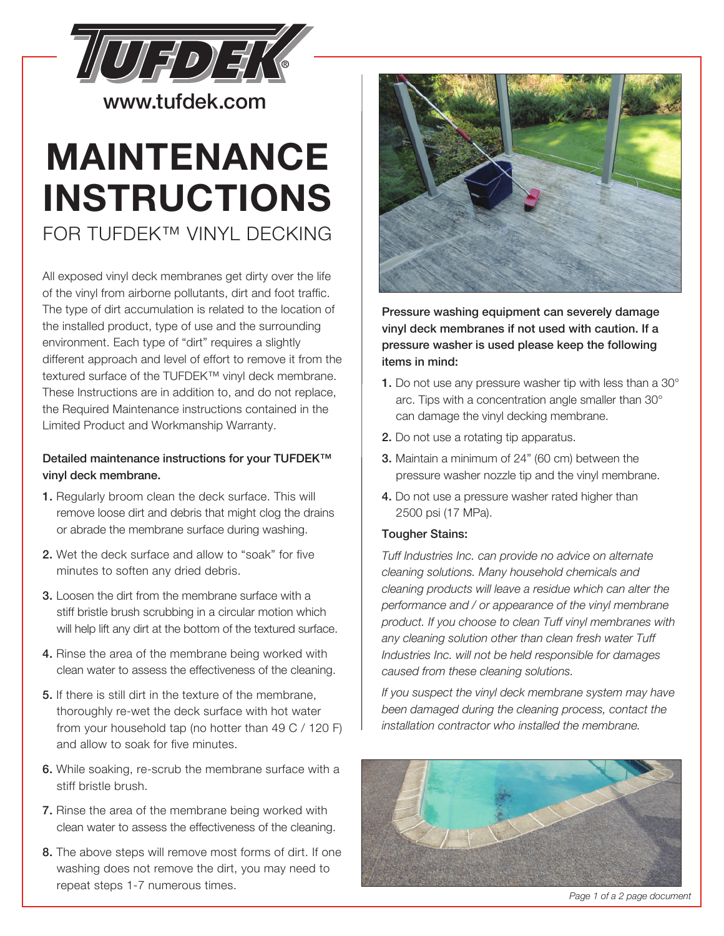

www.tufdek.com

# **MAINTENANCE INSTRUCTIONS**  FOR TUFDEK™ VINYL DECKING

All exposed vinyl deck membranes get dirty over the life of the vinyl from airborne pollutants, dirt and foot traffic. The type of dirt accumulation is related to the location of the installed product, type of use and the surrounding environment. Each type of "dirt" requires a slightly different approach and level of effort to remove it from the textured surface of the TUFDEK™ vinyl deck membrane. These Instructions are in addition to, and do not replace, the Required Maintenance instructions contained in the Limited Product and Workmanship Warranty.

#### Detailed maintenance instructions for your TUFDEK<sup>™</sup> vinyl deck membrane.

- 1. Regularly broom clean the deck surface. This will remove loose dirt and debris that might clog the drains or abrade the membrane surface during washing.
- 2. Wet the deck surface and allow to "soak" for five minutes to soften any dried debris.
- 3. Loosen the dirt from the membrane surface with a stiff bristle brush scrubbing in a circular motion which will help lift any dirt at the bottom of the textured surface.
- 4. Rinse the area of the membrane being worked with clean water to assess the effectiveness of the cleaning.
- 5. If there is still dirt in the texture of the membrane, thoroughly re-wet the deck surface with hot water from your household tap (no hotter than 49 C / 120 F) and allow to soak for five minutes.
- 6. While soaking, re-scrub the membrane surface with a stiff bristle brush.
- 7. Rinse the area of the membrane being worked with clean water to assess the effectiveness of the cleaning.
- 8. The above steps will remove most forms of dirt. If one washing does not remove the dirt, you may need to repeat steps 1-7 numerous times.



Pressure washing equipment can severely damage vinyl deck membranes if not used with caution. If a pressure washer is used please keep the following items in mind:

- 1. Do not use any pressure washer tip with less than a 30° arc. Tips with a concentration angle smaller than 30° can damage the vinyl decking membrane.
- 2. Do not use a rotating tip apparatus.
- 3. Maintain a minimum of 24" (60 cm) between the pressure washer nozzle tip and the vinyl membrane.
- 4. Do not use a pressure washer rated higher than 2500 psi (17 MPa).

#### Tougher Stains:

*Tuff Industries Inc. can provide no advice on alternate cleaning solutions. Many household chemicals and cleaning products will leave a residue which can alter the performance and / or appearance of the vinyl membrane product. If you choose to clean Tuff vinyl membranes with any cleaning solution other than clean fresh water Tuff Industries Inc. will not be held responsible for damages caused from these cleaning solutions.*

*If you suspect the vinyl deck membrane system may have been damaged during the cleaning process, contact the installation contractor who installed the membrane.* 



*Page 1 of a 2 page document*